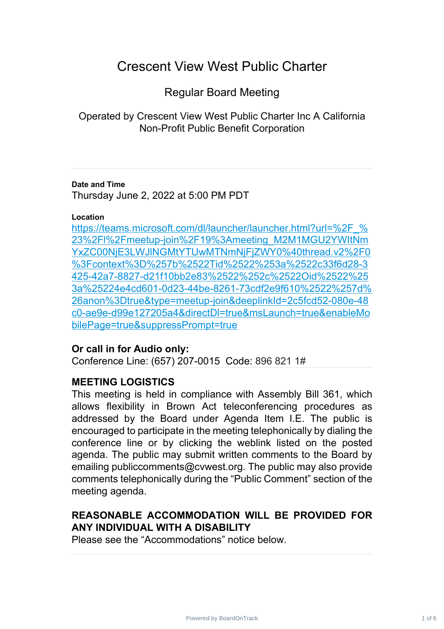# Crescent View West Public Charter

Regular Board Meeting

Operated by Crescent View West Public Charter Inc A California Non-Profit Public Benefit Corporation

#### **Date and Time**

Thursday June 2, 2022 at 5:00 PM PDT

#### **Location**

https://teams.microsoft.com/dl/launcher/launcher.html?url=%2F % 23%2Fl%2Fmeetup-join%2F19%3Ameeting\_M2M1MGU2YWItNm [YxZC00NjE3LWJlNGMtYTUwMTNmNjFjZWY0%40thread.v2%2F0](https://teams.microsoft.com/dl/launcher/launcher.html?url=%2F_%23%2Fl%2Fmeetup-join%2F19%3Ameeting_M2M1MGU2YWItNmYxZC00NjE3LWJlNGMtYTUwMTNmNjFjZWY0%40thread.v2%2F0%3Fcontext%3D%257b%2522Tid%2522%253a%2522c33f6d28-3425-42a7-8827-d21f10bb2e83%2522%252c%2522Oid%2522%253a%25224e4cd601-0d23-44be-8261-73cdf2e9f610%2522%257d%26anon%3Dtrue&type=meetup-join&deeplinkId=2c5fcd52-080e-48c0-ae9e-d99e127205a4&directDl=true&msLaunch=true&enableMobilePage=true&suppressPrompt=true) %3Fcontext%3D%257b%2522Tid%2522%253a%2522c33f6d28-3 [425-42a7-8827-d21f10bb2e83%2522%252c%2522Oid%2522%25](https://teams.microsoft.com/dl/launcher/launcher.html?url=%2F_%23%2Fl%2Fmeetup-join%2F19%3Ameeting_M2M1MGU2YWItNmYxZC00NjE3LWJlNGMtYTUwMTNmNjFjZWY0%40thread.v2%2F0%3Fcontext%3D%257b%2522Tid%2522%253a%2522c33f6d28-3425-42a7-8827-d21f10bb2e83%2522%252c%2522Oid%2522%253a%25224e4cd601-0d23-44be-8261-73cdf2e9f610%2522%257d%26anon%3Dtrue&type=meetup-join&deeplinkId=2c5fcd52-080e-48c0-ae9e-d99e127205a4&directDl=true&msLaunch=true&enableMobilePage=true&suppressPrompt=true) 3a%25224e4cd601-0d23-44be-8261-73cdf2e9f610%2522%257d% [26anon%3Dtrue&type=meetup-join&deeplinkId=2c5fcd52-080e-48](https://teams.microsoft.com/dl/launcher/launcher.html?url=%2F_%23%2Fl%2Fmeetup-join%2F19%3Ameeting_M2M1MGU2YWItNmYxZC00NjE3LWJlNGMtYTUwMTNmNjFjZWY0%40thread.v2%2F0%3Fcontext%3D%257b%2522Tid%2522%253a%2522c33f6d28-3425-42a7-8827-d21f10bb2e83%2522%252c%2522Oid%2522%253a%25224e4cd601-0d23-44be-8261-73cdf2e9f610%2522%257d%26anon%3Dtrue&type=meetup-join&deeplinkId=2c5fcd52-080e-48c0-ae9e-d99e127205a4&directDl=true&msLaunch=true&enableMobilePage=true&suppressPrompt=true) c0-ae9e-d99e127205a4&directDl=true&msLaunch=true&enableMo [bilePage=true&suppressPrompt=true](https://teams.microsoft.com/dl/launcher/launcher.html?url=%2F_%23%2Fl%2Fmeetup-join%2F19%3Ameeting_M2M1MGU2YWItNmYxZC00NjE3LWJlNGMtYTUwMTNmNjFjZWY0%40thread.v2%2F0%3Fcontext%3D%257b%2522Tid%2522%253a%2522c33f6d28-3425-42a7-8827-d21f10bb2e83%2522%252c%2522Oid%2522%253a%25224e4cd601-0d23-44be-8261-73cdf2e9f610%2522%257d%26anon%3Dtrue&type=meetup-join&deeplinkId=2c5fcd52-080e-48c0-ae9e-d99e127205a4&directDl=true&msLaunch=true&enableMobilePage=true&suppressPrompt=true)

## **Or call in for Audio only:**

Conference Line: (657) 207-0015 Code: 896 821 1#

## **MEETING LOGISTICS**

This meeting is held in compliance with Assembly Bill 361, which allows flexibility in Brown Act teleconferencing procedures as addressed by the Board under Agenda Item I.E. The public is encouraged to participate in the meeting telephonically by dialing the conference line or by clicking the weblink listed on the posted agenda. The public may submit written comments to the Board by emailing publiccomments@cvwest.org. The public may also provide comments telephonically during the "Public Comment" section of the meeting agenda.

# **REASONABLE ACCOMMODATION WILL BE PROVIDED FOR ANY INDIVIDUAL WITH A DISABILITY**

Please see the "Accommodations" notice below.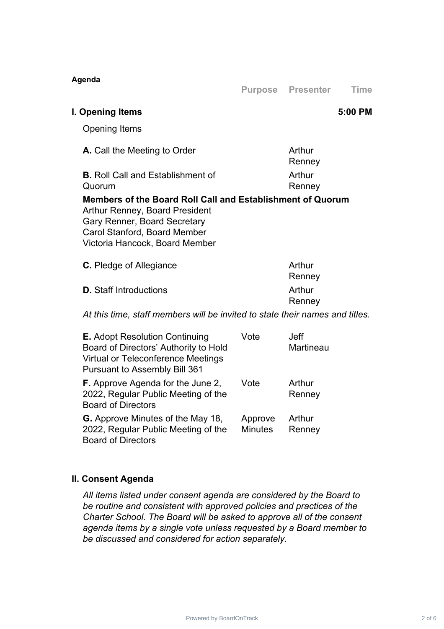| Agenda                                                                                                                                                                                                       |      | <b>Purpose Presenter</b> | <b>Time</b> |
|--------------------------------------------------------------------------------------------------------------------------------------------------------------------------------------------------------------|------|--------------------------|-------------|
| I. Opening Items                                                                                                                                                                                             |      |                          | 5:00 PM     |
| <b>Opening Items</b>                                                                                                                                                                                         |      |                          |             |
| <b>A.</b> Call the Meeting to Order                                                                                                                                                                          |      | Arthur<br>Renney         |             |
| <b>B.</b> Roll Call and Establishment of<br>Quorum                                                                                                                                                           |      | Arthur<br>Renney         |             |
| Members of the Board Roll Call and Establishment of Quorum<br><b>Arthur Renney, Board President</b><br><b>Gary Renner, Board Secretary</b><br>Carol Stanford, Board Member<br>Victoria Hancock, Board Member |      |                          |             |
| <b>C.</b> Pledge of Allegiance                                                                                                                                                                               |      | Arthur<br>Renney         |             |
| <b>D.</b> Staff Introductions                                                                                                                                                                                |      | Arthur<br>Renney         |             |
| At this time, staff members will be invited to state their names and titles.                                                                                                                                 |      |                          |             |
| <b>E.</b> Adopt Resolution Continuing<br>Board of Directors' Authority to Hold<br><b>Virtual or Teleconference Meetings</b><br><b>Pursuant to Assembly Bill 361</b>                                          | Vote | <b>Jeff</b><br>Martineau |             |
| <b>F.</b> Approve Agenda for the June 2,<br>2022, Regular Public Meeting of the<br><b>Board of Directors</b>                                                                                                 | Vote | Arthur<br>Renney         |             |

**G.** Approve Minutes of the May 18, 2022, Regular Public Meeting of the Board of Directors Approve Minutes Arthur Renney

#### **II. Consent Agenda**

*All items listed under consent agenda are considered by the Board to be routine and consistent with approved policies and practices of the Charter School. The Board will be asked to approve all of the consent agenda items by a single vote unless requested by a Board member to be discussed and considered for action separately.*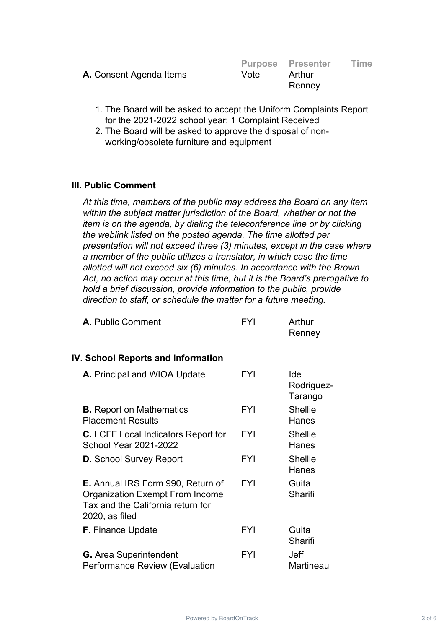|                                |      | <b>Purpose Presenter</b> | <b>Time</b> |
|--------------------------------|------|--------------------------|-------------|
| <b>A.</b> Consent Agenda Items | Vote | Arthur                   |             |
|                                |      | Renney                   |             |
|                                |      |                          |             |

- 1. The Board will be asked to accept the Uniform Complaints Report for the 2021-2022 school year: 1 Complaint Received
- 2. The Board will be asked to approve the disposal of nonworking/obsolete furniture and equipment

#### **III. Public Comment**

*At this time, members of the public may address the Board on any item within the subject matter jurisdiction of the Board, whether or not the item is on the agenda, by dialing the teleconference line or by clicking the weblink listed on the posted agenda. The time allotted per presentation will not exceed three (3) minutes, except in the case where a member of the public utilizes a translator, in which case the time allotted will not exceed six (6) minutes. In accordance with the Brown Act, no action may occur at this time, but it is the Board's prerogative to hold a brief discussion, provide information to the public, provide direction to staff, or schedule the matter for a future meeting.*

| A. Public Comment | FYI | Arthur |
|-------------------|-----|--------|
|                   |     | Renney |

#### **IV. School Reports and Information**

| A. Principal and WIOA Update                                                                                                                 | <b>FYI</b> | Ide<br>Rodriguez-<br>Tarango |
|----------------------------------------------------------------------------------------------------------------------------------------------|------------|------------------------------|
| <b>B.</b> Report on Mathematics<br><b>Placement Results</b>                                                                                  | FYI        | <b>Shellie</b><br>Hanes      |
| <b>C.</b> LCFF Local Indicators Report for<br><b>School Year 2021-2022</b>                                                                   | <b>FYI</b> | <b>Shellie</b><br>Hanes      |
| <b>D.</b> School Survey Report                                                                                                               | <b>FYI</b> | <b>Shellie</b><br>Hanes      |
| <b>E.</b> Annual IRS Form 990, Return of<br><b>Organization Exempt From Income</b><br>Tax and the California return for<br>$2020$ , as filed | <b>FYI</b> | Guita<br>Sharifi             |
| <b>F.</b> Finance Update                                                                                                                     | FYI        | Guita<br>Sharifi             |
| <b>G.</b> Area Superintendent<br>Performance Review (Evaluation                                                                              | FYI        | Jeff<br>Martineau            |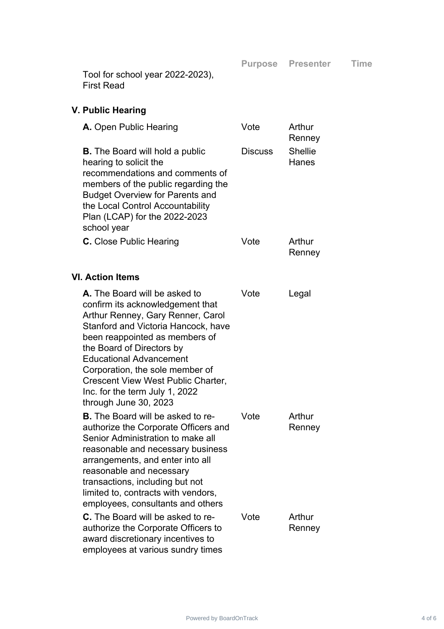**Purpose Presenter Time**

Tool for school year 2022-2023), First Read

## **V. Public Hearing**

| A. Open Public Hearing                                                                                                                                                                                                                                                                                                                                                             | Vote           | Arthur<br>Renney        |
|------------------------------------------------------------------------------------------------------------------------------------------------------------------------------------------------------------------------------------------------------------------------------------------------------------------------------------------------------------------------------------|----------------|-------------------------|
| <b>B.</b> The Board will hold a public<br>hearing to solicit the<br>recommendations and comments of<br>members of the public regarding the<br><b>Budget Overview for Parents and</b><br>the Local Control Accountability<br>Plan (LCAP) for the 2022-2023<br>school year                                                                                                           | <b>Discuss</b> | <b>Shellie</b><br>Hanes |
| C. Close Public Hearing                                                                                                                                                                                                                                                                                                                                                            | Vote           | Arthur<br>Renney        |
| <b>VI. Action Items</b>                                                                                                                                                                                                                                                                                                                                                            |                |                         |
| A. The Board will be asked to<br>confirm its acknowledgement that<br>Arthur Renney, Gary Renner, Carol<br>Stanford and Victoria Hancock, have<br>been reappointed as members of<br>the Board of Directors by<br><b>Educational Advancement</b><br>Corporation, the sole member of<br>Crescent View West Public Charter,<br>Inc. for the term July 1, 2022<br>through June 30, 2023 | Vote           | Legal                   |
| <b>B.</b> The Board will be asked to re-<br>authorize the Corporate Officers and<br>Senior Administration to make all<br>reasonable and necessary business<br>arrangements, and enter into all<br>reasonable and necessary<br>transactions, including but not<br>limited to, contracts with vendors,<br>employees, consultants and others                                          | Vote           | Arthur<br>Renney        |
| <b>C.</b> The Board will be asked to re-<br>authorize the Corporate Officers to<br>award discretionary incentives to<br>employees at various sundry times                                                                                                                                                                                                                          | Vote           | Arthur<br>Renney        |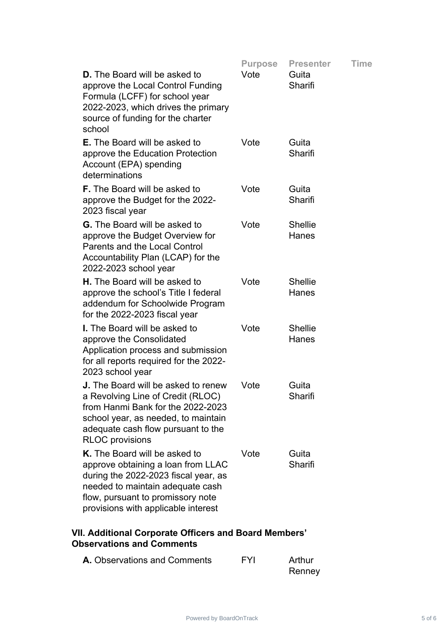|                                                                                                                                                                                                                             | <b>Purpose</b> | <b>Presenter</b>        | Time |
|-----------------------------------------------------------------------------------------------------------------------------------------------------------------------------------------------------------------------------|----------------|-------------------------|------|
| <b>D.</b> The Board will be asked to<br>approve the Local Control Funding<br>Formula (LCFF) for school year<br>2022-2023, which drives the primary<br>source of funding for the charter<br>school                           | Vote           | Guita<br>Sharifi        |      |
| <b>E.</b> The Board will be asked to<br>approve the Education Protection<br>Account (EPA) spending<br>determinations                                                                                                        | Vote           | Guita<br>Sharifi        |      |
| <b>F.</b> The Board will be asked to<br>approve the Budget for the 2022-<br>2023 fiscal year                                                                                                                                | Vote           | Guita<br>Sharifi        |      |
| <b>G.</b> The Board will be asked to<br>approve the Budget Overview for<br><b>Parents and the Local Control</b><br>Accountability Plan (LCAP) for the<br>2022-2023 school year                                              | Vote           | <b>Shellie</b><br>Hanes |      |
| <b>H.</b> The Board will be asked to<br>approve the school's Title I federal<br>addendum for Schoolwide Program<br>for the 2022-2023 fiscal year                                                                            | Vote           | <b>Shellie</b><br>Hanes |      |
| <b>I.</b> The Board will be asked to<br>approve the Consolidated<br>Application process and submission<br>for all reports required for the 2022-<br>2023 school year                                                        | Vote           | <b>Shellie</b><br>Hanes |      |
| <b>J.</b> The Board will be asked to renew<br>a Revolving Line of Credit (RLOC)<br>from Hanmi Bank for the 2022-2023<br>school year, as needed, to maintain<br>adequate cash flow pursuant to the<br><b>RLOC</b> provisions | Vote           | Guita<br>Sharifi        |      |
| K. The Board will be asked to<br>approve obtaining a loan from LLAC<br>during the 2022-2023 fiscal year, as<br>needed to maintain adequate cash<br>flow, pursuant to promissory note<br>provisions with applicable interest | Vote           | Guita<br>Sharifi        |      |

# **VII. Additional Corporate Officers and Board Members' Observations and Comments**

| <b>A.</b> Observations and Comments | <b>FYI</b> | Arthur |
|-------------------------------------|------------|--------|
|                                     |            | Renney |